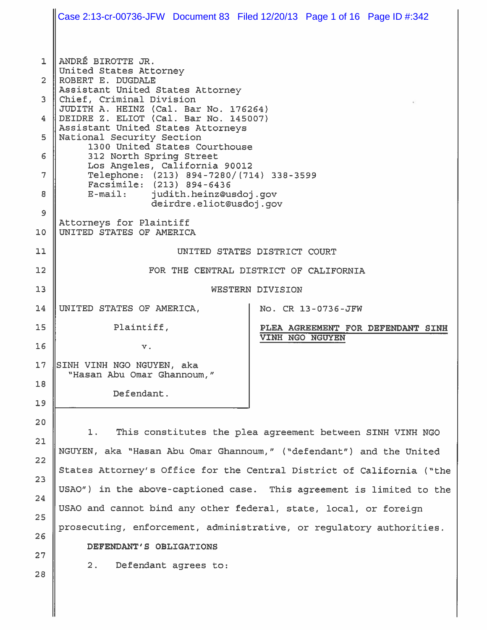Case 2:13-cr-00736-JFW Document 83 Filed 12/20/13 Page 1 of 16 Page ID #:342ANDRÉ BIROTTE JR.  $\mathbf{1}$ United States Attorney ROBERT E. DUGDALE  $\overline{2}$ Assistant United States Attorney 3 Chief, Criminal Division JUDITH A. HEINZ (Cal. Bar No. 176264)  $\overline{4}$ DEIDRE Z. ELIOT (Cal. Bar No. 145007) Assistant United States Attorneys 5 National Security Section 1300 United States Courthouse 6 312 North Spring Street Los Angeles, California 90012 7 Telephone: (213) 894-7280/(714) 338-3599 Facsimile: (213) 894-6436 8  $E$ -mail: judith.heinz@usdoj.qov deirdre.eliot@usdoj.gov 9 Attorneys for Plaintiff UNITED STATES OF AMERICA  $10$  $11$ UNITED STATES DISTRICT COURT  $12$ FOR THE CENTRAL DISTRICT OF CALIFORNIA  $13$ WESTERN DIVISION UNITED STATES OF AMERICA.  $14$ No. CR 13-0736-JFW 15 Plaintiff, PLEA AGREEMENT FOR DEFENDANT SINH VINH NGO NGUYEN 16  $\mathbf v$  .  $17$ SINH VINH NGO NGUYEN, aka "Hasan Abu Omar Ghannoum," 18 Defendant.  $19$ 20  $1.$ This constitutes the plea agreement between SINH VINH NGO 21 NGUYEN, aka "Hasan Abu Omar Ghannoum," ("defendant") and the United 22 States Attorney's Office for the Central District of California ("the  $23$ USAO") in the above-captioned case. This agreement is limited to the 24 USAO and cannot bind any other federal, state, local, or foreign 25 prosecuting, enforcement, administrative, or requlatory authorities. 26 DEFENDANT'S OBLIGATIONS 27 Defendant agrees to:  $2.$ 28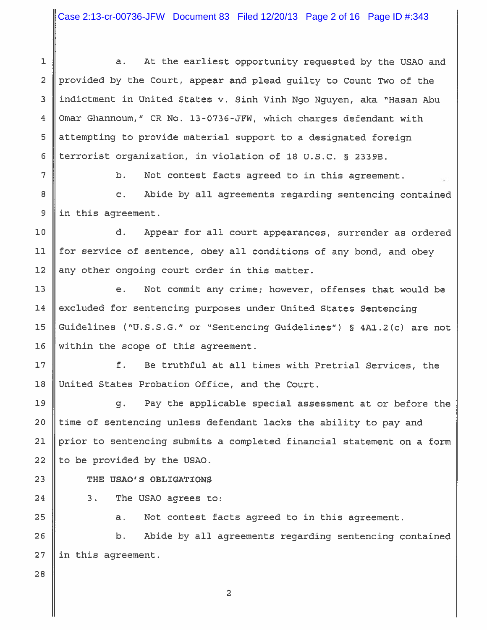At the earliest opportunity requested by the USAO and  $\mathbf 1$  $\overline{a}$ .  $\overline{2}$ provided by the Court, appear and plead quilty to Count Two of the indictment in United States v. Sinh Vinh Ngo Nguyen, aka "Hasan Abu  $\overline{3}$ Omar Ghannoum," CR No. 13-0736-JFW, which charges defendant with  $\overline{4}$ attempting to provide material support to a designated foreign 5 terrorist organization, in violation of 18 U.S.C. § 2339B.  $\epsilon$ 

 $\overline{7}$ 

8

 $\mathfrak{S}$ 

 $b<sub>1</sub>$ Not contest facts agreed to in this agreement.

 $\mathbf{C}$ . Abide by all agreements regarding sentencing contained in this agreement.

 $10$ d. Appear for all court appearances, surrender as ordered  $11$ for service of sentence, obey all conditions of any bond, and obey  $12$ any other ongoing court order in this matter.

 $13$ Not commit any crime; however, offenses that would be e.  $14$ excluded for sentencing purposes under United States Sentencing Guidelines ("U.S.S.G." or "Sentencing Guidelines") § 4A1.2(c) are not 15  $16$ within the scope of this agreement.

 $17$  $f$ . Be truthful at all times with Pretrial Services, the United States Probation Office, and the Court.  $18$ 

Pay the applicable special assessment at or before the q. time of sentencing unless defendant lacks the ability to pay and prior to sentencing submits a completed financial statement on a form to be provided by the USAO.

THE USAO'S OBLIGATIONS

 $3.$ The USAO agrees to:

> Not contest facts agreed to in this agreement. a.

26 Abide by all agreements regarding sentencing contained b.  $27$ in this agreement.

28

19

20

21

22

23

24

25

 $\overline{2}$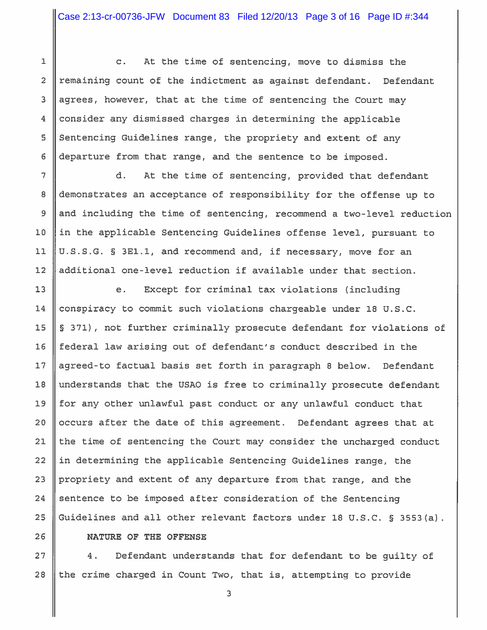$\overline{2}$ 3  $\overline{4}$ 

5

 $6\phantom{1}6$ 

 $\overline{7}$ 

8

9

 $10$ 

 $11$ 

 $12$ 

26

 $\mathbf{1}$ 

At the time of sentencing, move to dismiss the  $\mathbf{C}$ . remaining count of the indictment as against defendant. Defendant agrees, however, that at the time of sentencing the Court may consider any dismissed charges in determining the applicable Sentencing Guidelines range, the propriety and extent of any departure from that range, and the sentence to be imposed.

d. At the time of sentencing, provided that defendant demonstrates an acceptance of responsibility for the offense up to and including the time of sentencing, recommend a two-level reduction in the applicable Sentencing Guidelines offense level, pursuant to U.S.S.G. § 3E1.1, and recommend and, if necessary, move for an additional one-level reduction if available under that section.

 $13$ Except for criminal tax violations (including  $e<sub>1</sub>$ conspiracy to commit such violations chargeable under 18 U.S.C. 14 15 § 371), not further criminally prosecute defendant for violations of federal law arising out of defendant's conduct described in the  $16$ agreed-to factual basis set forth in paragraph 8 below. Defendant  $17$ understands that the USAO is free to criminally prosecute defendant 18 19 for any other unlawful past conduct or any unlawful conduct that  $20$ occurs after the date of this agreement. Defendant agrees that at  $21$ the time of sentencing the Court may consider the uncharged conduct  $22$ in determining the applicable Sentencing Guidelines range, the  $23$ propriety and extent of any departure from that range, and the sentence to be imposed after consideration of the Sentencing 24 Guidelines and all other relevant factors under 18 U.S.C. § 3553(a). 25

NATURE OF THE OFFENSE

Defendant understands that for defendant to be quilty of  $27$  $4.$ the crime charged in Count Two, that is, attempting to provide 28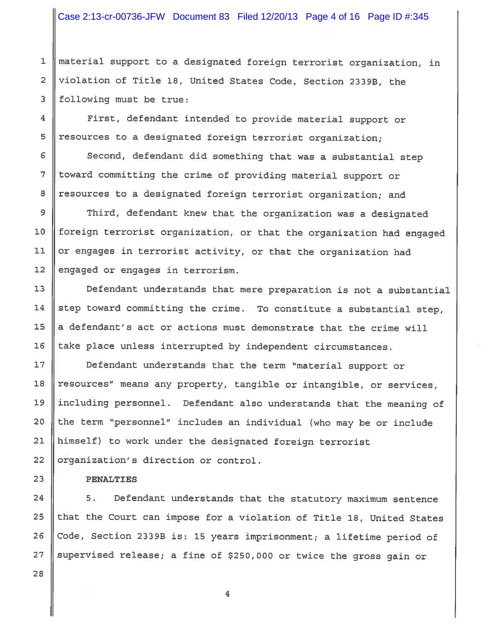material support to a designated foreign terrorist organization, in  $\mathbf{1}$ violation of Title 18, United States Code, Section 2339B, the  $\overline{a}$ following must be true: 3

First, defendant intended to provide material support or resources to a designated foreign terrorist organization;

Second, defendant did something that was a substantial step toward committing the crime of providing material support or resources to a designated foreign terrorist organization; and

Third, defendant knew that the organization was a designated foreign terrorist organization, or that the organization had engaged or engages in terrorist activity, or that the organization had engaged or engages in terrorism.

Defendant understands that mere preparation is not a substantial step toward committing the crime. To constitute a substantial step, a defendant's act or actions must demonstrate that the crime will take place unless interrupted by independent circumstances.

Defendant understands that the term "material support or resources" means any property, tangible or intangible, or services, including personnel. Defendant also understands that the meaning of the term "personnel" includes an individual (who may be or include himself) to work under the designated foreign terrorist organization's direction or control.

#### **PENALTIES**

 $5.$ Defendant understands that the statutory maximum sentence that the Court can impose for a violation of Title 18, United States Code, Section 2339B is: 15 years imprisonment; a lifetime period of supervised release; a fine of \$250,000 or twice the gross gain or

 $\overline{4}$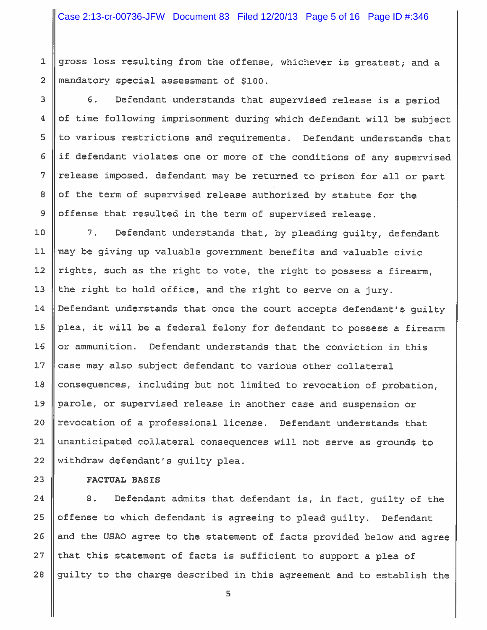gross loss resulting from the offense, whichever is greatest; and a  $\mathbf{1}$  $\overline{2}$ mandatory special assessment of \$100.

 $6.$ Defendant understands that supervised release is a period of time following imprisonment during which defendant will be subject to various restrictions and requirements. Defendant understands that if defendant violates one or more of the conditions of any supervised release imposed, defendant may be returned to prison for all or part of the term of supervised release authorized by statute for the offense that resulted in the term of supervised release.

 $10$  $7.$ Defendant understands that, by pleading quilty, defendant may be giving up valuable government benefits and valuable civic  $11$ rights, such as the right to vote, the right to possess a firearm,  $12$ the right to hold office, and the right to serve on a jury.  $13$  $14$ Defendant understands that once the court accepts defendant's quilty plea, it will be a federal felony for defendant to possess a firearm 15 16 or ammunition. Defendant understands that the conviction in this case may also subject defendant to various other collateral  $17$ 18 consequences, including but not limited to revocation of probation,  $19$ parole, or supervised release in another case and suspension or revocation of a professional license. Defendant understands that  $20$ 21 unanticipated collateral consequences will not serve as grounds to 22 withdraw defendant's guilty plea.

**FACTUAL BASIS** 

3

 $\overline{\mathbf{4}}$ 

 $\overline{5}$ 

6

 $\overline{7}$ 

8

9

 $23$ 

24  $8.$ Defendant admits that defendant is, in fact, guilty of the offense to which defendant is agreeing to plead quilty. Defendant 25 26 and the USAO agree to the statement of facts provided below and agree 27 that this statement of facts is sufficient to support a plea of guilty to the charge described in this agreement and to establish the 28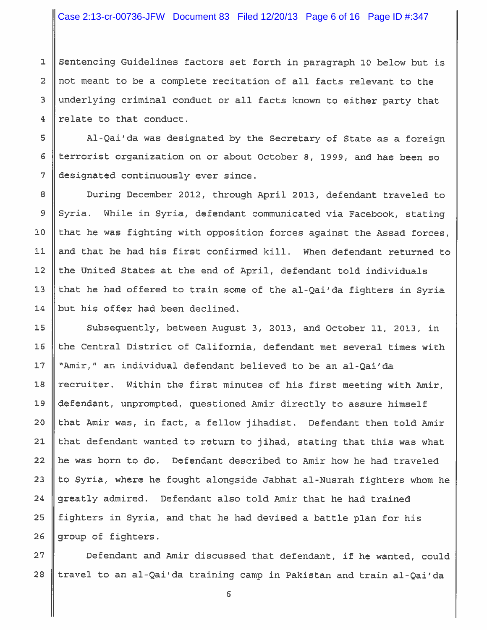Sentencing Guidelines factors set forth in paragraph 10 below but is not meant to be a complete recitation of all facts relevant to the underlying criminal conduct or all facts known to either party that relate to that conduct.

Al-Qai'da was designated by the Secretary of State as a foreign terrorist organization on or about October 8, 1999, and has been so designated continuously ever since.

During December 2012, through April 2013, defendant traveled to Syria. While in Syria, defendant communicated via Facebook, stating that he was fighting with opposition forces against the Assad forces, and that he had his first confirmed kill. When defendant returned to the United States at the end of April, defendant told individuals that he had offered to train some of the al-Qai'da fighters in Syria but his offer had been declined.

Subsequently, between August 3, 2013, and October 11, 2013, in the Central District of California, defendant met several times with "Amir," an individual defendant believed to be an al-Qai'da recruiter. Within the first minutes of his first meeting with Amir, defendant, unprompted, questioned Amir directly to assure himself that Amir was, in fact, a fellow jihadist. Defendant then told Amir that defendant wanted to return to jihad, stating that this was what he was born to do. Defendant described to Amir how he had traveled to Syria, where he fought alongside Jabhat al-Nusrah fighters whom he greatly admired. Defendant also told Amir that he had trained fighters in Syria, and that he had devised a battle plan for his group of fighters.

Defendant and Amir discussed that defendant, if he wanted, could travel to an al-Qai'da training camp in Pakistan and train al-Qai'da 28

 $\mathbf 1$ 

 $\overline{a}$ 

3

 $\overline{4}$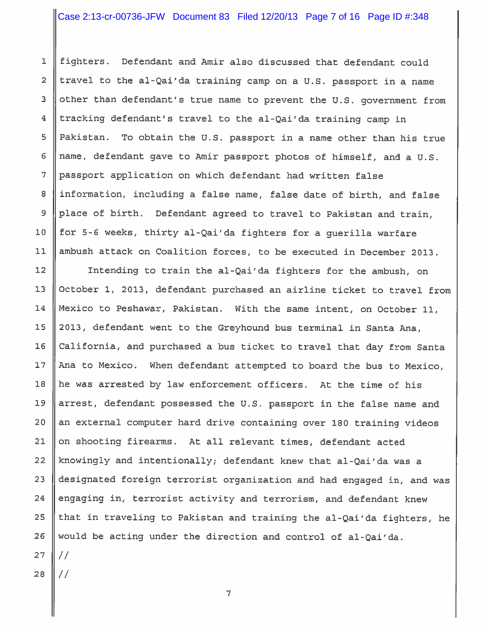Defendant and Amir also discussed that defendant could  $\mathbf{1}$ fighters. travel to the al-Qai'da training camp on a U.S. passport in a name  $\overline{2}$ 3 other than defendant's true name to prevent the U.S. government from tracking defendant's travel to the al-Qai'da training camp in  $\overline{4}$ 5 Pakistan. To obtain the U.S. passport in a name other than his true name, defendant qave to Amir passport photos of himself, and a U.S.  $\epsilon$ 7 passport application on which defendant had written false 8 information, including a false name, false date of birth, and false place of birth. Defendant agreed to travel to Pakistan and train,  $\overline{9}$ for 5-6 weeks, thirty al-Qai'da fighters for a querilla warfare  $10$ ambush attack on Coalition forces, to be executed in December 2013.  $11$ 

Intending to train the al-Qai'da fighters for the ambush, on  $12$ October 1, 2013, defendant purchased an airline ticket to travel from  $13$ Mexico to Peshawar, Pakistan. With the same intent, on October 11, 14 2013, defendant went to the Greyhound bus terminal in Santa Ana, 15  $16$ California, and purchased a bus ticket to travel that day from Santa  $17$ Ana to Mexico. When defendant attempted to board the bus to Mexico,  $18$ he was arrested by law enforcement officers. At the time of his 19 arrest, defendant possessed the U.S. passport in the false name and an external computer hard drive containing over 180 training videos  $20$ 21 on shooting firearms. At all relevant times, defendant acted 22 knowingly and intentionally; defendant knew that al-Qai'da was a 23 designated foreign terrorist organization and had engaged in, and was 24 engaging in, terrorist activity and terrorism, and defendant knew 25 that in traveling to Pakistan and training the al-Qai'da fighters, he would be acting under the direction and control of al-Qai'da. 26  $27$  $\frac{1}{2}$ 

 $\overline{7}$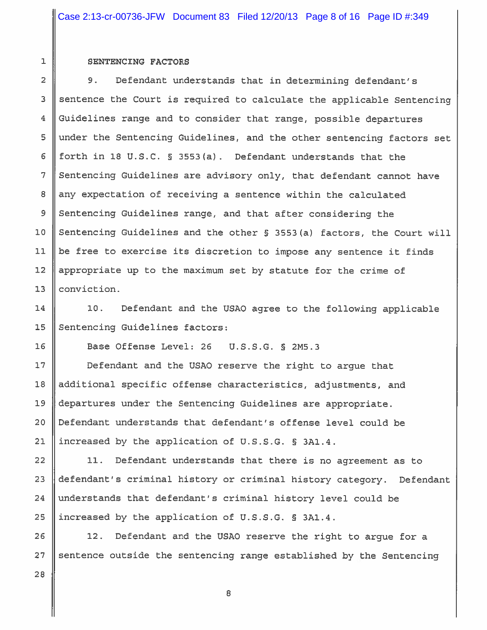#### SENTENCING FACTORS

 $\mathbf 1$ 

 $\overline{2}$ 

 $\overline{3}$ 

 $\overline{4}$ 

 $\overline{5}$ 

6

 $\overline{7}$ 

8

 $\mathcal{G}$ 

 $10$ 

 $11$ 

 $12$ 

 $13$ 

14

 $15$ 

16

 $17$ 

9. Defendant understands that in determining defendant's sentence the Court is required to calculate the applicable Sentencing Guidelines range and to consider that range, possible departures under the Sentencing Guidelines, and the other sentencing factors set forth in 18 U.S.C. § 3553(a). Defendant understands that the Sentencing Guidelines are advisory only, that defendant cannot have any expectation of receiving a sentence within the calculated Sentencing Guidelines range, and that after considering the Sentencing Guidelines and the other § 3553(a) factors, the Court will be free to exercise its discretion to impose any sentence it finds appropriate up to the maximum set by statute for the crime of conviction.

Defendant and the USAO agree to the following applicable  $10.$ Sentencing Guidelines factors:

Base Offense Level: 26 U.S.S.G. § 2M5.3

Defendant and the USAO reserve the right to arque that additional specific offense characteristics, adjustments, and departures under the Sentencing Guidelines are appropriate. Defendant understands that defendant's offense level could be increased by the application of U.S.S.G. § 3A1.4.

 $11.$ Defendant understands that there is no agreement as to defendant's criminal history or criminal history category. Defendant understands that defendant's criminal history level could be increased by the application of U.S.S.G. § 3A1.4.

Defendant and the USAO reserve the right to argue for a  $12.$ sentence outside the sentencing range established by the Sentencing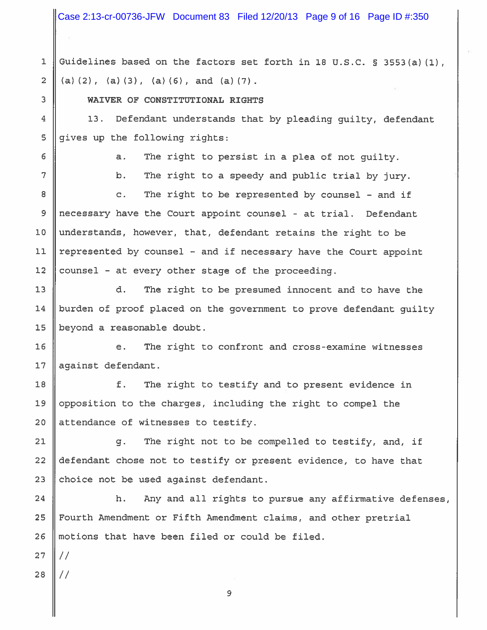Case 2:13-cr-00736-JFW Document 83 Filed 12/20/13 Page 9 of 16 Page ID #:350

Guidelines based on the factors set forth in 18 U.S.C. § 3553(a)(1),  $\mathbf{1}$  $\overline{2}$ (a)  $(2)$ ,  $(a)$   $(3)$ ,  $(a)$   $(6)$ , and  $(a)$   $(7)$ .

# WAIVER OF CONSTITUTIONAL RIGHTS

Defendant understands that by pleading quilty, defendant 13. gives up the following rights:

6

3

 $\overline{\mathbf{4}}$ 

5

The right to persist in a plea of not quilty.  $a.$ 

7

The right to a speedy and public trial by jury.  $b.$ 

8 The right to be represented by counsel - and if  $\mathbf{C}$ . 9 necessary have the Court appoint counsel - at trial. Defendant understands, however, that, defendant retains the right to be  $10$ represented by counsel - and if necessary have the Court appoint  $11$  $12$ counsel - at every other stage of the proceeding.

 $13$ d. The right to be presumed innocent and to have the burden of proof placed on the government to prove defendant guilty 14  $15$ beyond a reasonable doubt.

 $16$ The right to confront and cross-examine witnesses e.  $17$ against defendant.

18 f. The right to testify and to present evidence in opposition to the charges, including the right to compel the 19 attendance of witnesses to testify. 20

21  $q$ . The right not to be compelled to testify, and, if 22 defendant chose not to testify or present evidence, to have that 23 choice not be used against defendant.

24 h. Any and all rights to pursue any affirmative defenses, Fourth Amendment or Fifth Amendment claims, and other pretrial 25 motions that have been filed or could be filed. 26

 $27$ 

 $\frac{1}{2}$ 28

 $\frac{1}{2}$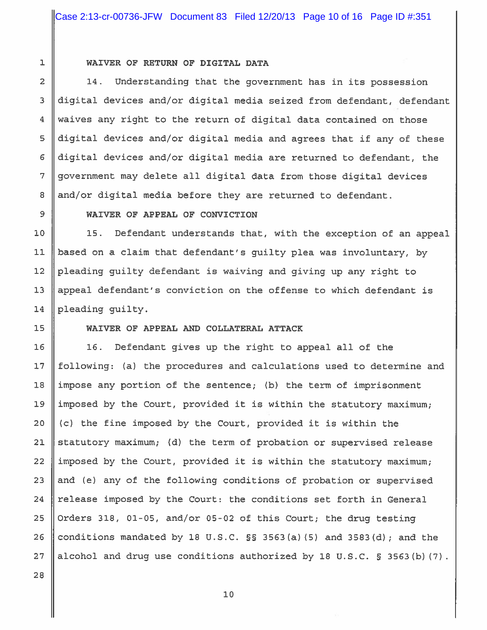$\overline{2}$  $\overline{3}$ 

 $\overline{4}$ 

5

 $\epsilon$ 

 $\overline{7}$ 

8

 $\overline{9}$ 

10

 $11$ 

 $12$ 

 $13$ 

14

15

16

 $17$ 

 $18\,$ 

19

 $20$ 

 $21$ 

22

23

24

25

26

 $27$ 

 $\mathbf 1$ 

## WAIVER OF RETURN OF DIGITAL DATA

 $14.$ Understanding that the government has in its possession digital devices and/or digital media seized from defendant, defendant waives any right to the return of digital data contained on those digital devices and/or digital media and agrees that if any of these digital devices and/or digital media are returned to defendant, the government may delete all digital data from those digital devices and/or digital media before they are returned to defendant.

## WAIVER OF APPEAL OF CONVICTION

15. Defendant understands that, with the exception of an appeal based on a claim that defendant's guilty plea was involuntary, by pleading guilty defendant is waiving and giving up any right to appeal defendant's conviction on the offense to which defendant is pleading guilty.

## WAIVER OF APPEAL AND COLLATERAL ATTACK

16. Defendant gives up the right to appeal all of the following: (a) the procedures and calculations used to determine and impose any portion of the sentence; (b) the term of imprisonment imposed by the Court, provided it is within the statutory maximum; (c) the fine imposed by the Court, provided it is within the statutory maximum; (d) the term of probation or supervised release imposed by the Court, provided it is within the statutory maximum; and (e) any of the following conditions of probation or supervised release imposed by the Court: the conditions set forth in General Orders 318, 01-05, and/or 05-02 of this Court; the drug testing conditions mandated by 18 U.S.C.  $\S$  3563(a)(5) and 3583(d); and the alcohol and drug use conditions authorized by 18 U.S.C. § 3563(b) (7).

28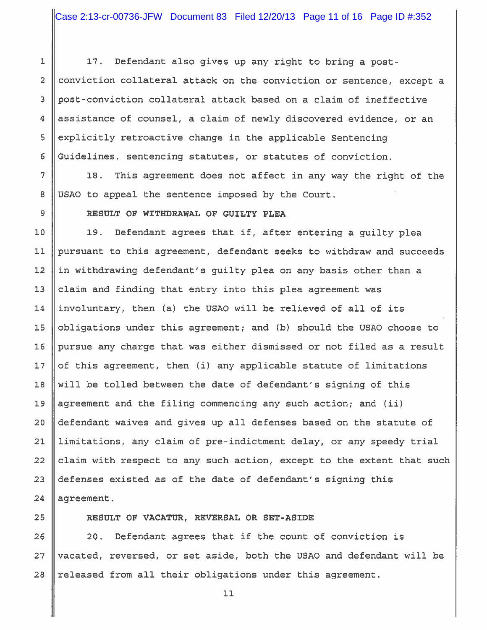Defendant also gives up any right to bring a post- $\mathbf{1}$  $17.$  $\overline{2}$ conviction collateral attack on the conviction or sentence, except a post-conviction collateral attack based on a claim of ineffective 3 assistance of counsel, a claim of newly discovered evidence, or an  $\overline{4}$ 5 explicitly retroactive change in the applicable Sentencing Guidelines, sentencing statutes, or statutes of conviction. 6

This agreement does not affect in any way the right of the 18. USAO to appeal the sentence imposed by the Court.

RESULT OF WITHDRAWAL OF GUILTY PLEA

19. Defendant agrees that if, after entering a guilty plea pursuant to this agreement, defendant seeks to withdraw and succeeds in withdrawing defendant's guilty plea on any basis other than a claim and finding that entry into this plea agreement was involuntary, then (a) the USAO will be relieved of all of its 15 obligations under this agreement; and (b) should the USAO choose to pursue any charge that was either dismissed or not filed as a result of this agreement, then (i) any applicable statute of limitations  $17$ will be tolled between the date of defendant's signing of this agreement and the filing commencing any such action; and (ii) defendant waives and gives up all defenses based on the statute of limitations, any claim of pre-indictment delay, or any speedy trial claim with respect to any such action, except to the extent that such defenses existed as of the date of defendant's signing this agreement.

25

 $\overline{7}$ 

8

9

 $10$ 

 $11$ 

 $12$ 

 $13$ 

14

 $16$ 

 $18$ 

19

 $20$ 

 $21$ 

 $22$ 

23

24

# RESULT OF VACATUR, REVERSAL OR SET-ASIDE

20. Defendant agrees that if the count of conviction is 26 vacated, reversed, or set aside, both the USAO and defendant will be 27 28 released from all their obligations under this agreement.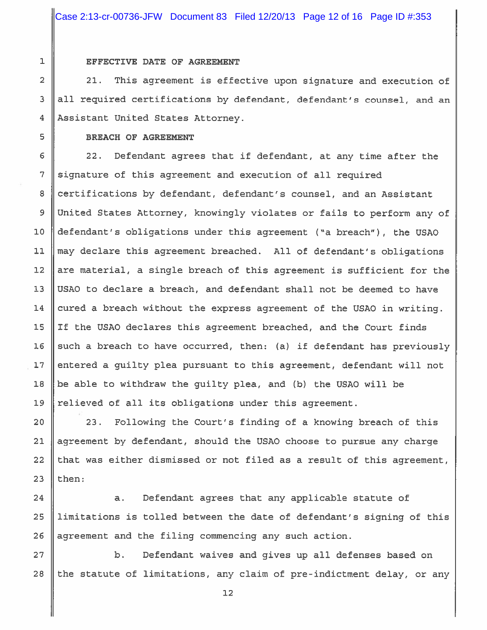#### EFFECTIVE DATE OF AGREEMENT

This agreement is effective upon signature and execution of  $21.$ all required certifications by defendant, defendant's counsel, and an Assistant United States Attorney.

#### BREACH OF AGREEMENT

 $22.$ Defendant agrees that if defendant, at any time after the signature of this agreement and execution of all required 8 certifications by defendant, defendant's counsel, and an Assistant 9 United States Attorney, knowingly violates or fails to perform any of defendant's obligations under this agreement ("a breach"), the USAO  $10$  $11$ may declare this agreement breached. All of defendant's obligations  $12$ are material, a single breach of this agreement is sufficient for the  $13$ USAO to declare a breach, and defendant shall not be deemed to have cured a breach without the express agreement of the USAO in writing. 14 If the USAO declares this agreement breached, and the Court finds 15  $16$ such a breach to have occurred, then: (a) if defendant has previously entered a quilty plea pursuant to this agreement, defendant will not  $17$ be able to withdraw the guilty plea, and (b) the USAO will be 18 relieved of all its obligations under this agreement. 19

23. Following the Court's finding of a knowing breach of this agreement by defendant, should the USAO choose to pursue any charge that was either dismissed or not filed as a result of this agreement, then:

24 a. Defendant agrees that any applicable statute of 25 limitations is tolled between the date of defendant's signing of this agreement and the filing commencing any such action. 26

27 b. Defendant waives and gives up all defenses based on the statute of limitations, any claim of pre-indictment delay, or any 28

 $\overline{5}$ 6 7

20

21

 $22$ 

23

 $\mathbf 1$ 

 $\overline{2}$ 

3

 $\overline{4}$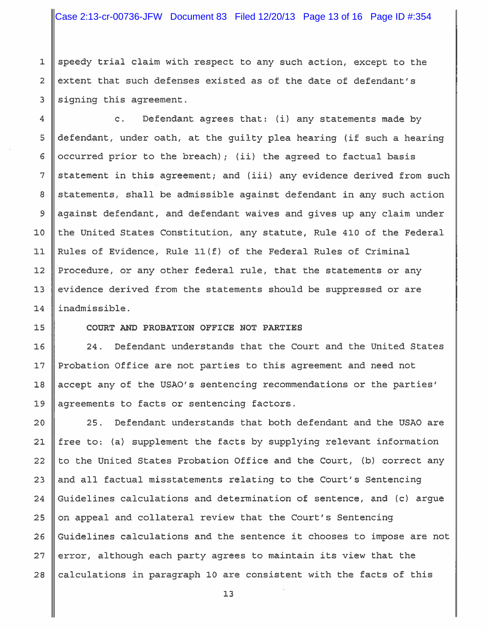speedy trial claim with respect to any such action, except to the extent that such defenses existed as of the date of defendant's signing this agreement.

 $\mathbf{C}$ . Defendant agrees that: (i) any statements made by defendant, under oath, at the quilty plea hearing (if such a hearing occurred prior to the breach); (ii) the agreed to factual basis statement in this agreement; and (iii) any evidence derived from such statements, shall be admissible against defendant in any such action against defendant, and defendant waives and gives up any claim under the United States Constitution, any statute, Rule 410 of the Federal Rules of Evidence, Rule 11(f) of the Federal Rules of Criminal Procedure, or any other federal rule, that the statements or any evidence derived from the statements should be suppressed or are inadmissible.

COURT AND PROBATION OFFICE NOT PARTIES

Defendant understands that the Court and the United States  $24.$ Probation Office are not parties to this agreement and need not accept any of the USAO's sentencing recommendations or the parties' agreements to facts or sentencing factors.

Defendant understands that both defendant and the USAO are  $25.$ free to: (a) supplement the facts by supplying relevant information to the United States Probation Office and the Court, (b) correct any and all factual misstatements relating to the Court's Sentencing Guidelines calculations and determination of sentence, and (c) argue on appeal and collateral review that the Court's Sentencing Guidelines calculations and the sentence it chooses to impose are not error, although each party agrees to maintain its view that the calculations in paragraph 10 are consistent with the facts of this

 $13$ 

 $\mathbf{1}$ 

 $\overline{2}$ 

3

 $\overline{4}$ 

5

 $6\phantom{1}6$ 

 $\overline{7}$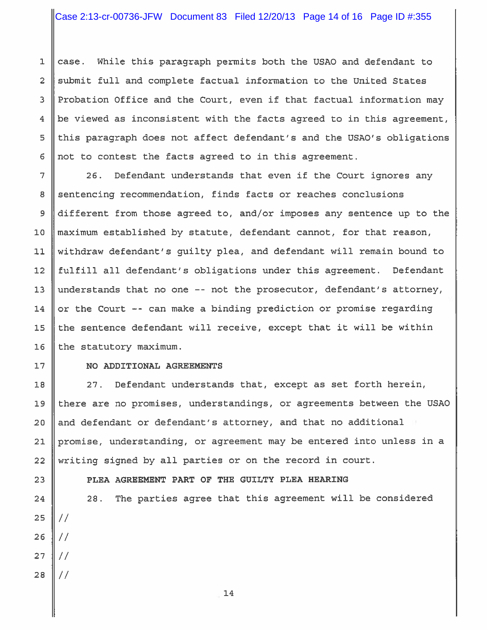case. While this paragraph permits both the USAO and defendant to  $\overline{2}$ submit full and complete factual information to the United States Probation Office and the Court, even if that factual information may be viewed as inconsistent with the facts agreed to in this agreement, this paragraph does not affect defendant's and the USAO's obligations not to contest the facts agreed to in this agreement.

26. Defendant understands that even if the Court ignores any sentencing recommendation, finds facts or reaches conclusions different from those agreed to, and/or imposes any sentence up to the maximum established by statute, defendant cannot, for that reason, withdraw defendant's quilty plea, and defendant will remain bound to fulfill all defendant's obligations under this agreement. Defendant understands that no one -- not the prosecutor, defendant's attorney, or the Court -- can make a binding prediction or promise regarding the sentence defendant will receive, except that it will be within the statutory maximum.

 $\mathbf{1}$ 

3

 $\overline{4}$ 

5

 $6\phantom{1}6$ 

 $\overline{7}$ 

8

9

 $10$ 

 $11$ 

 $12$ 

 $13$ 

14

15

16

 $17$ 

18

19

 $20$ 

 $21$ 

23

24

25

26

 $27$ 

28

# NO ADDITIONAL AGREEMENTS

27. Defendant understands that, except as set forth herein, there are no promises, understandings, or agreements between the USAO and defendant or defendant's attorney, and that no additional promise, understanding, or agreement may be entered into unless in a writing signed by all parties or on the record in court. 22

PLEA AGREEMENT PART OF THE GUILTY PLEA HEARING

The parties agree that this agreement will be considered  $28.$  $\frac{1}{2}$  $\frac{1}{2}$  $\frac{1}{2}$  $\frac{1}{2}$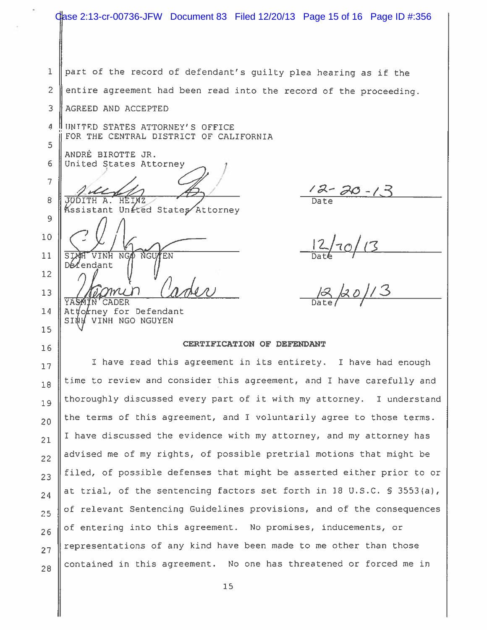Gase 2:13-cr-00736-JFW Document 83 Filed 12/20/13 Page 15 of 16 Page ID #:356  $\mathbf{1}$ part of the record of defendant's quilty plea hearing as if the  $\overline{2}$ entire agreement had been read into the record of the proceeding. AGREED AND ACCEPTED 3  $\overline{a}$ UNITED STATES ATTORNEY'S OFFICE FOR THE CENTRAL DISTRICT OF CALIFORNIA 5 ANDRÉ BIROTTE JR. 6 United States Attorney 7 8  $\overline{\mathbf{A}}$  . Kssistant United States Attorney  $\mathsf{Q}$  $\frac{12}{\text{Date}}$  13<br>B 20/13  $10$ VINH NG  $11$ NGU ΈN endant  $12$  $13$ **CADER** 14 Attorney for Defendant **SINH** VINH NGO NGUYEN 15 CERTIFICATION OF DEFENDANT 16 I have read this agreement in its entirety. I have had enough  $17$ time to review and consider this agreement, and I have carefully and 18 thoroughly discussed every part of it with my attorney. I understand 19 the terms of this agreement, and I voluntarily agree to those terms.  $20$ I have discussed the evidence with my attorney, and my attorney has  $21$ advised me of my rights, of possible pretrial motions that might be  $22$ filed, of possible defenses that might be asserted either prior to or  $23$ at trial, of the sentencing factors set forth in 18 U.S.C. § 3553(a),  $24$ of relevant Sentencing Guidelines provisions, and of the consequences  $25$ of entering into this agreement. No promises, inducements, or  $26$ representations of any kind have been made to me other than those  $27$ contained in this agreement. No one has threatened or forced me in 28